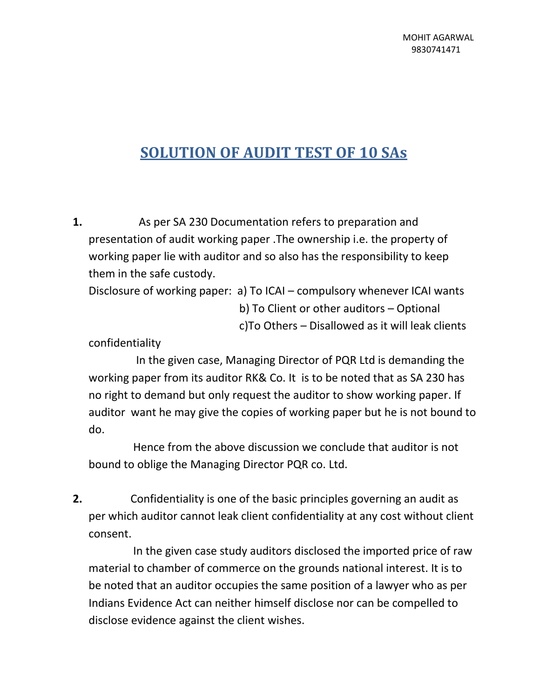## **SOLUTION OF AUDIT TEST OF 10 SAs**

**1.** As per SA 230 Documentation refers to preparation and presentation of audit working paper .The ownership i.e. the property of working paper lie with auditor and so also has the responsibility to keep them in the safe custody.

Disclosure of working paper: a) To ICAI – compulsory whenever ICAI wants

 b) To Client or other auditors – Optional c)To Others – Disallowed as it will leak clients

confidentiality

 In the given case, Managing Director of PQR Ltd is demanding the working paper from its auditor RK& Co. It is to be noted that as SA 230 has no right to demand but only request the auditor to show working paper. If auditor want he may give the copies of working paper but he is not bound to do.

 Hence from the above discussion we conclude that auditor is not bound to oblige the Managing Director PQR co. Ltd.

**2.** Confidentiality is one of the basic principles governing an audit as per which auditor cannot leak client confidentiality at any cost without client consent.

 In the given case study auditors disclosed the imported price of raw material to chamber of commerce on the grounds national interest. It is to be noted that an auditor occupies the same position of a lawyer who as per Indians Evidence Act can neither himself disclose nor can be compelled to disclose evidence against the client wishes.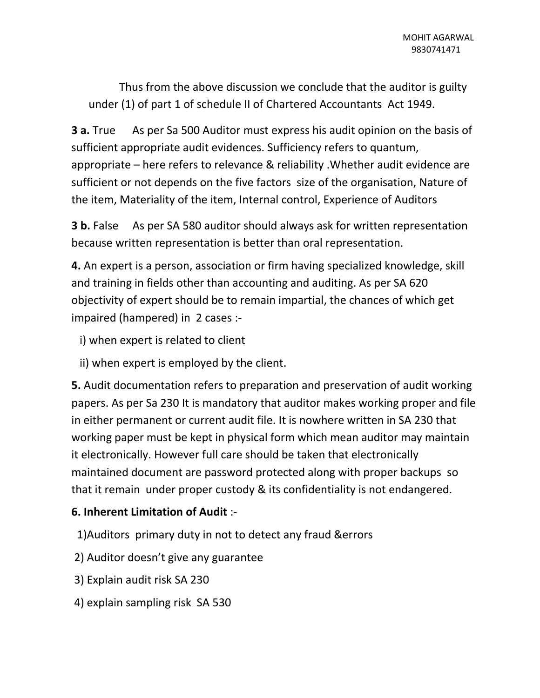Thus from the above discussion we conclude that the auditor is guilty under (1) of part 1 of schedule II of Chartered Accountants Act 1949.

**3 a.** True As per Sa 500 Auditor must express his audit opinion on the basis of sufficient appropriate audit evidences. Sufficiency refers to quantum, appropriate – here refers to relevance & reliability .Whether audit evidence are sufficient or not depends on the five factors size of the organisation, Nature of the item, Materiality of the item, Internal control, Experience of Auditors

**3 b.** False As per SA 580 auditor should always ask for written representation because written representation is better than oral representation.

**4.** An expert is a person, association or firm having specialized knowledge, skill and training in fields other than accounting and auditing. As per SA 620 objectivity of expert should be to remain impartial, the chances of which get impaired (hampered) in 2 cases :-

- i) when expert is related to client
- ii) when expert is employed by the client.

**5.** Audit documentation refers to preparation and preservation of audit working papers. As per Sa 230 It is mandatory that auditor makes working proper and file in either permanent or current audit file. It is nowhere written in SA 230 that working paper must be kept in physical form which mean auditor may maintain it electronically. However full care should be taken that electronically maintained document are password protected along with proper backups so that it remain under proper custody & its confidentiality is not endangered.

## **6. Inherent Limitation of Audit** :-

- 1)Auditors primary duty in not to detect any fraud &errors
- 2) Auditor doesn't give any guarantee
- 3) Explain audit risk SA 230
- 4) explain sampling risk SA 530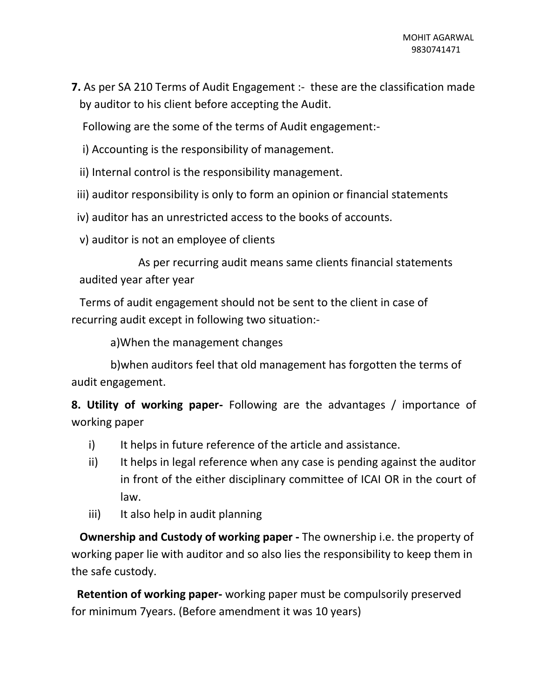**7.** As per SA 210 Terms of Audit Engagement :- these are the classification made by auditor to his client before accepting the Audit.

Following are the some of the terms of Audit engagement:-

- i) Accounting is the responsibility of management.
- ii) Internal control is the responsibility management.
- iii) auditor responsibility is only to form an opinion or financial statements

iv) auditor has an unrestricted access to the books of accounts.

v) auditor is not an employee of clients

 As per recurring audit means same clients financial statements audited year after year

 Terms of audit engagement should not be sent to the client in case of recurring audit except in following two situation:-

a)When the management changes

 b)when auditors feel that old management has forgotten the terms of audit engagement.

**8. Utility of working paper-** Following are the advantages / importance of working paper

- i) It helps in future reference of the article and assistance.
- ii) It helps in legal reference when any case is pending against the auditor in front of the either disciplinary committee of ICAI OR in the court of law.
- iii) It also help in audit planning

 **Ownership and Custody of working paper -** The ownership i.e. the property of working paper lie with auditor and so also lies the responsibility to keep them in the safe custody.

 **Retention of working paper-** working paper must be compulsorily preserved for minimum 7years. (Before amendment it was 10 years)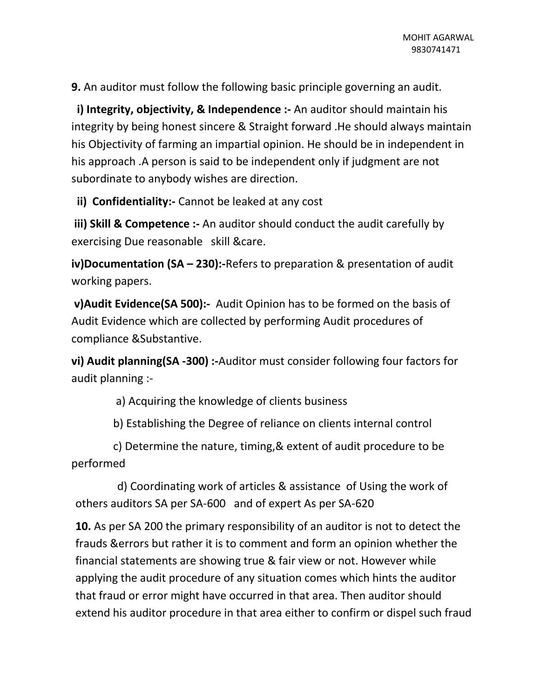**9.** An auditor must follow the following basic principle governing an audit.

 **i) Integrity, objectivity, & Independence :-** An auditor should maintain his integrity by being honest sincere & Straight forward .He should always maintain his Objectivity of farming an impartial opinion. He should be in independent in his approach .A person is said to be independent only if judgment are not subordinate to anybody wishes are direction.

 **ii) Confidentiality:-** Cannot be leaked at any cost

**iii) Skill & Competence :-** An auditor should conduct the audit carefully by exercising Due reasonable skill &care.

**iv)Documentation (SA – 230):-**Refers to preparation & presentation of audit working papers.

**v)Audit Evidence(SA 500):-** Audit Opinion has to be formed on the basis of Audit Evidence which are collected by performing Audit procedures of compliance &Substantive.

**vi) Audit planning(SA -300) :-**Auditor must consider following four factors for audit planning :-

a) Acquiring the knowledge of clients business

b) Establishing the Degree of reliance on clients internal control

 c) Determine the nature, timing,& extent of audit procedure to be performed

 d) Coordinating work of articles & assistance of Using the work of others auditors SA per SA-600 and of expert As per SA-620

**10.** As per SA 200 the primary responsibility of an auditor is not to detect the frauds &errors but rather it is to comment and form an opinion whether the financial statements are showing true & fair view or not. However while applying the audit procedure of any situation comes which hints the auditor that fraud or error might have occurred in that area. Then auditor should extend his auditor procedure in that area either to confirm or dispel such fraud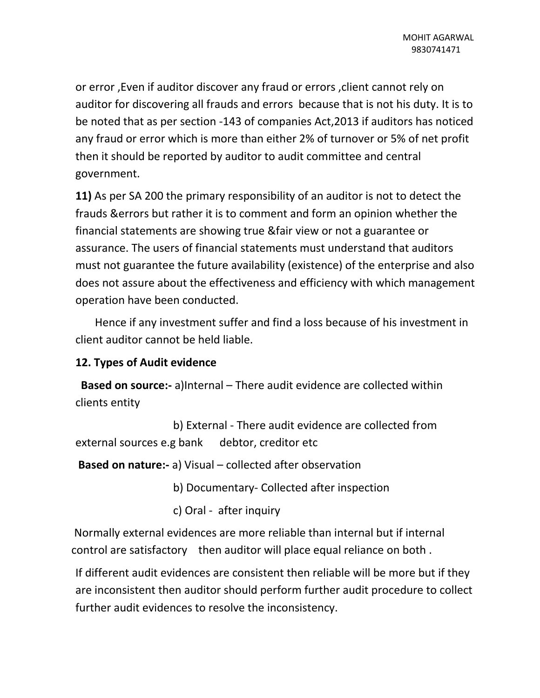or error ,Even if auditor discover any fraud or errors ,client cannot rely on auditor for discovering all frauds and errors because that is not his duty. It is to be noted that as per section -143 of companies Act,2013 if auditors has noticed any fraud or error which is more than either 2% of turnover or 5% of net profit then it should be reported by auditor to audit committee and central government.

**11)** As per SA 200 the primary responsibility of an auditor is not to detect the frauds &errors but rather it is to comment and form an opinion whether the financial statements are showing true &fair view or not a guarantee or assurance. The users of financial statements must understand that auditors must not guarantee the future availability (existence) of the enterprise and also does not assure about the effectiveness and efficiency with which management operation have been conducted.

 Hence if any investment suffer and find a loss because of his investment in client auditor cannot be held liable.

## **12. Types of Audit evidence**

 **Based on source:-** a)Internal – There audit evidence are collected within clients entity

 b) External - There audit evidence are collected from external sources e.g bank debtor, creditor etc

**Based on nature:-** a) Visual – collected after observation

b) Documentary- Collected after inspection

c) Oral - after inquiry

Normally external evidences are more reliable than internal but if internal control are satisfactory then auditor will place equal reliance on both .

If different audit evidences are consistent then reliable will be more but if they are inconsistent then auditor should perform further audit procedure to collect further audit evidences to resolve the inconsistency.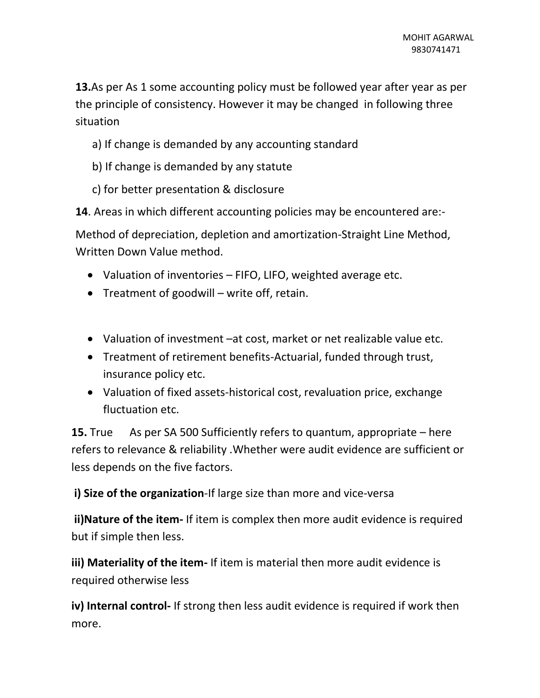**13.**As per As 1 some accounting policy must be followed year after year as per the principle of consistency. However it may be changed in following three situation

- a) If change is demanded by any accounting standard
- b) If change is demanded by any statute
- c) for better presentation & disclosure

**14**. Areas in which different accounting policies may be encountered are:-

Method of depreciation, depletion and amortization-Straight Line Method, Written Down Value method.

- Valuation of inventories FIFO, LIFO, weighted average etc.
- Treatment of goodwill write off, retain.
- Valuation of investment –at cost, market or net realizable value etc.
- Treatment of retirement benefits-Actuarial, funded through trust, insurance policy etc.
- Valuation of fixed assets-historical cost, revaluation price, exchange fluctuation etc.

**15.** True As per SA 500 Sufficiently refers to quantum, appropriate – here refers to relevance & reliability .Whether were audit evidence are sufficient or less depends on the five factors.

**i) Size of the organization**-If large size than more and vice-versa

**ii)Nature of the item-** If item is complex then more audit evidence is required but if simple then less.

**iii) Materiality of the item-** If item is material then more audit evidence is required otherwise less

**iv) Internal control-** If strong then less audit evidence is required if work then more.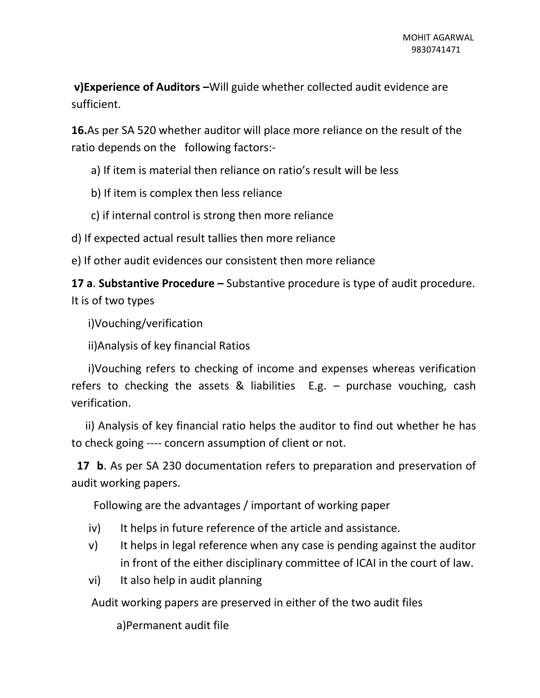**v)Experience of Auditors -**Will guide whether collected audit evidence are sufficient.

**16.**As per SA 520 whether auditor will place more reliance on the result of the ratio depends on the following factors:-

a) If item is material then reliance on ratio's result will be less

b) If item is complex then less reliance

c) if internal control is strong then more reliance

d) If expected actual result tallies then more reliance

e) If other audit evidences our consistent then more reliance

**17 a**. **Substantive Procedure –** Substantive procedure is type of audit procedure. It is of two types

i)Vouching/verification

ii)Analysis of key financial Ratios

 i)Vouching refers to checking of income and expenses whereas verification refers to checking the assets & liabilities E.g. – purchase vouching, cash verification.

 ii) Analysis of key financial ratio helps the auditor to find out whether he has to check going ---- concern assumption of client or not.

 **17 b**. As per SA 230 documentation refers to preparation and preservation of audit working papers.

Following are the advantages / important of working paper

- iv) It helps in future reference of the article and assistance.
- v) It helps in legal reference when any case is pending against the auditor in front of the either disciplinary committee of ICAI in the court of law.
- vi) It also help in audit planning

Audit working papers are preserved in either of the two audit files

a)Permanent audit file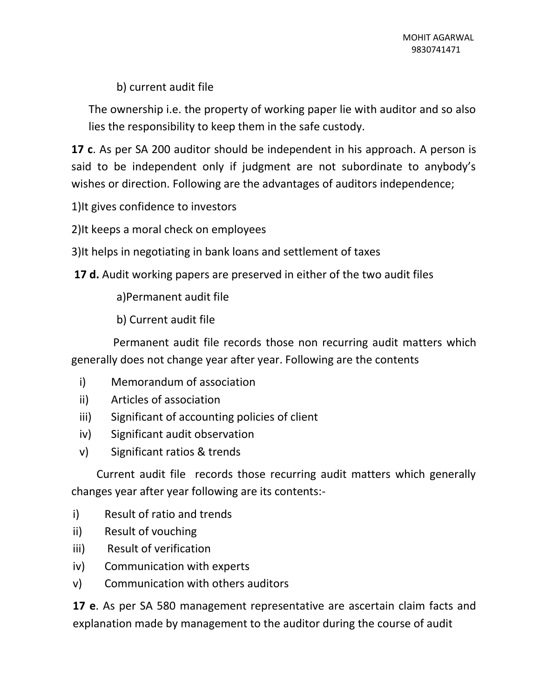## b) current audit file

The ownership i.e. the property of working paper lie with auditor and so also lies the responsibility to keep them in the safe custody.

**17 c**. As per SA 200 auditor should be independent in his approach. A person is said to be independent only if judgment are not subordinate to anybody's wishes or direction. Following are the advantages of auditors independence;

1)It gives confidence to investors

2)It keeps a moral check on employees

3)It helps in negotiating in bank loans and settlement of taxes

**17 d.** Audit working papers are preserved in either of the two audit files

a)Permanent audit file

b) Current audit file

 Permanent audit file records those non recurring audit matters which generally does not change year after year. Following are the contents

- i) Memorandum of association
- ii) Articles of association
- iii) Significant of accounting policies of client
- iv) Significant audit observation
- v) Significant ratios & trends

 Current audit file records those recurring audit matters which generally changes year after year following are its contents:-

- i) Result of ratio and trends
- ii) Result of vouching
- iii) Result of verification
- iv) Communication with experts
- v) Communication with others auditors

**17 e**. As per SA 580 management representative are ascertain claim facts and explanation made by management to the auditor during the course of audit